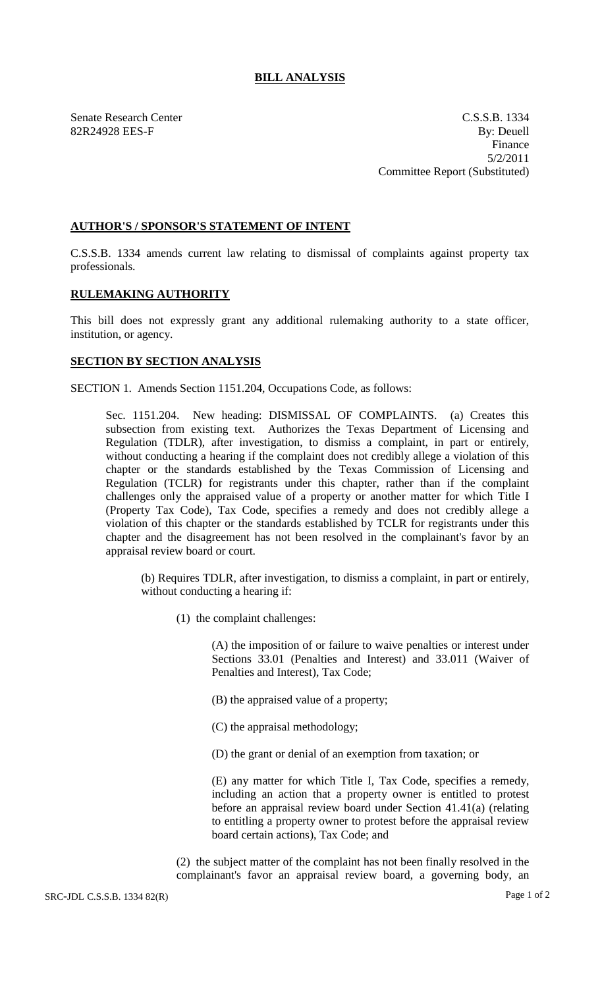## **BILL ANALYSIS**

Senate Research Center C.S.S.B. 1334 82R24928 EES-F By: Deuell Finance 5/2/2011 Committee Report (Substituted)

## **AUTHOR'S / SPONSOR'S STATEMENT OF INTENT**

C.S.S.B. 1334 amends current law relating to dismissal of complaints against property tax professionals.

## **RULEMAKING AUTHORITY**

This bill does not expressly grant any additional rulemaking authority to a state officer, institution, or agency.

## **SECTION BY SECTION ANALYSIS**

SECTION 1. Amends Section 1151.204, Occupations Code, as follows:

Sec. 1151.204. New heading: DISMISSAL OF COMPLAINTS. (a) Creates this subsection from existing text. Authorizes the Texas Department of Licensing and Regulation (TDLR), after investigation, to dismiss a complaint, in part or entirely, without conducting a hearing if the complaint does not credibly allege a violation of this chapter or the standards established by the Texas Commission of Licensing and Regulation (TCLR) for registrants under this chapter, rather than if the complaint challenges only the appraised value of a property or another matter for which Title I (Property Tax Code), Tax Code, specifies a remedy and does not credibly allege a violation of this chapter or the standards established by TCLR for registrants under this chapter and the disagreement has not been resolved in the complainant's favor by an appraisal review board or court.

(b) Requires TDLR, after investigation, to dismiss a complaint, in part or entirely, without conducting a hearing if:

(1) the complaint challenges:

(A) the imposition of or failure to waive penalties or interest under Sections 33.01 (Penalties and Interest) and 33.011 (Waiver of Penalties and Interest), Tax Code;

- (B) the appraised value of a property;
- (C) the appraisal methodology;
- (D) the grant or denial of an exemption from taxation; or

(E) any matter for which Title I, Tax Code, specifies a remedy, including an action that a property owner is entitled to protest before an appraisal review board under Section 41.41(a) (relating to entitling a property owner to protest before the appraisal review board certain actions), Tax Code; and

(2) the subject matter of the complaint has not been finally resolved in the complainant's favor an appraisal review board, a governing body, an